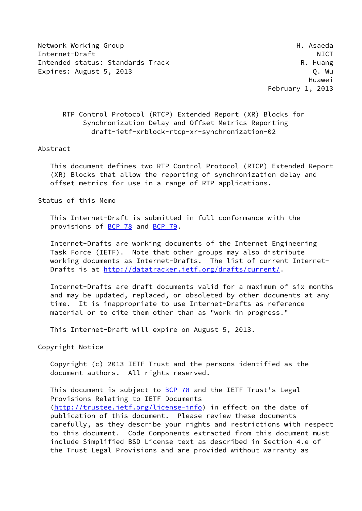Network Working Group Network Asseda Internet-Draft NICT Intended status: Standards Track R. Huang Expires: August 5, 2013 **Q. Wu** 

 Huawei February 1, 2013

## RTP Control Protocol (RTCP) Extended Report (XR) Blocks for Synchronization Delay and Offset Metrics Reporting draft-ietf-xrblock-rtcp-xr-synchronization-02

#### Abstract

 This document defines two RTP Control Protocol (RTCP) Extended Report (XR) Blocks that allow the reporting of synchronization delay and offset metrics for use in a range of RTP applications.

Status of this Memo

 This Internet-Draft is submitted in full conformance with the provisions of [BCP 78](https://datatracker.ietf.org/doc/pdf/bcp78) and [BCP 79](https://datatracker.ietf.org/doc/pdf/bcp79).

 Internet-Drafts are working documents of the Internet Engineering Task Force (IETF). Note that other groups may also distribute working documents as Internet-Drafts. The list of current Internet Drafts is at<http://datatracker.ietf.org/drafts/current/>.

 Internet-Drafts are draft documents valid for a maximum of six months and may be updated, replaced, or obsoleted by other documents at any time. It is inappropriate to use Internet-Drafts as reference material or to cite them other than as "work in progress."

This Internet-Draft will expire on August 5, 2013.

Copyright Notice

 Copyright (c) 2013 IETF Trust and the persons identified as the document authors. All rights reserved.

This document is subject to [BCP 78](https://datatracker.ietf.org/doc/pdf/bcp78) and the IETF Trust's Legal Provisions Relating to IETF Documents [\(http://trustee.ietf.org/license-info](http://trustee.ietf.org/license-info)) in effect on the date of publication of this document. Please review these documents carefully, as they describe your rights and restrictions with respect to this document. Code Components extracted from this document must include Simplified BSD License text as described in Section 4.e of the Trust Legal Provisions and are provided without warranty as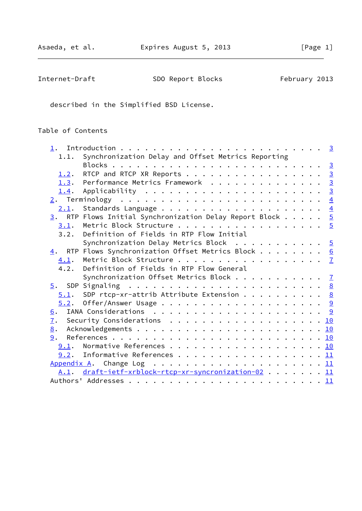| Internet-Draft | SDO Report Blocks | February 2013 |
|----------------|-------------------|---------------|
|----------------|-------------------|---------------|

described in the Simplified BSD License.

# Table of Contents

|      | 1.1. Synchronization Delay and Offset Metrics Reporting                  |  |  |  |  |
|------|--------------------------------------------------------------------------|--|--|--|--|
|      |                                                                          |  |  |  |  |
| 1.2. | RTCP and RTCP XR Reports 3                                               |  |  |  |  |
|      | 1.3. Performance Metrics Framework 3                                     |  |  |  |  |
| 1.4. |                                                                          |  |  |  |  |
|      |                                                                          |  |  |  |  |
|      |                                                                          |  |  |  |  |
|      | $\underline{3}$ . RTP Flows Initial Synchronization Delay Report Block 5 |  |  |  |  |
| 3.1. | Metric Block Structure 5                                                 |  |  |  |  |
|      | 3.2. Definition of Fields in RTP Flow Initial                            |  |  |  |  |
|      | Synchronization Delay Metrics Block $\cdots$ 5                           |  |  |  |  |
|      | 4. RTP Flows Synchronization Offset Metrics Block 6                      |  |  |  |  |
|      |                                                                          |  |  |  |  |
|      | 4.2. Definition of Fields in RTP Flow General                            |  |  |  |  |
|      | Synchronization Offset Metrics Block $\frac{7}{2}$                       |  |  |  |  |
|      |                                                                          |  |  |  |  |
|      | $5.1$ . SDP rtcp-xr-attrib Attribute Extension 8                         |  |  |  |  |
|      |                                                                          |  |  |  |  |
|      |                                                                          |  |  |  |  |
| 7.   | Security Considerations 10                                               |  |  |  |  |
| 8.   |                                                                          |  |  |  |  |
|      |                                                                          |  |  |  |  |
|      | 9.1. Normative References 10                                             |  |  |  |  |
|      | $9.2.$ Informative References 11                                         |  |  |  |  |
|      |                                                                          |  |  |  |  |
|      | A.1. draft-ietf-xrblock-rtcp-xr-syncronization-02 11                     |  |  |  |  |
|      |                                                                          |  |  |  |  |
|      |                                                                          |  |  |  |  |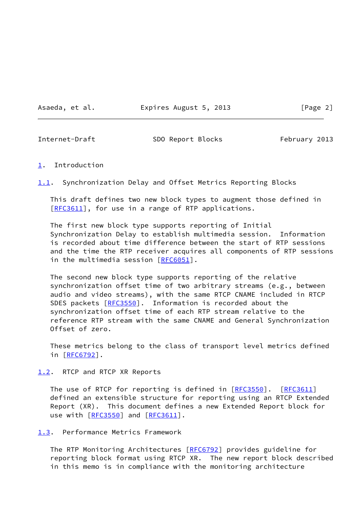Asaeda, et al. **Expires August 5, 2013** [Page 2]

<span id="page-2-1"></span>

Internet-Draft SDO Report Blocks February 2013

#### <span id="page-2-0"></span>[1](#page-2-0). Introduction

<span id="page-2-4"></span>[1.1](#page-2-4). Synchronization Delay and Offset Metrics Reporting Blocks

 This draft defines two new block types to augment those defined in [\[RFC3611](https://datatracker.ietf.org/doc/pdf/rfc3611)], for use in a range of RTP applications.

 The first new block type supports reporting of Initial Synchronization Delay to establish multimedia session. Information is recorded about time difference between the start of RTP sessions and the time the RTP receiver acquires all components of RTP sessions in the multimedia session [[RFC6051](https://datatracker.ietf.org/doc/pdf/rfc6051)].

 The second new block type supports reporting of the relative synchronization offset time of two arbitrary streams (e.g., between audio and video streams), with the same RTCP CNAME included in RTCP SDES packets [\[RFC3550](https://datatracker.ietf.org/doc/pdf/rfc3550)]. Information is recorded about the synchronization offset time of each RTP stream relative to the reference RTP stream with the same CNAME and General Synchronization Offset of zero.

 These metrics belong to the class of transport level metrics defined in [[RFC6792\]](https://datatracker.ietf.org/doc/pdf/rfc6792).

<span id="page-2-2"></span>[1.2](#page-2-2). RTCP and RTCP XR Reports

The use of RTCP for reporting is defined in [\[RFC3550](https://datatracker.ietf.org/doc/pdf/rfc3550)]. [\[RFC3611](https://datatracker.ietf.org/doc/pdf/rfc3611)] defined an extensible structure for reporting using an RTCP Extended Report (XR). This document defines a new Extended Report block for use with [\[RFC3550](https://datatracker.ietf.org/doc/pdf/rfc3550)] and [\[RFC3611](https://datatracker.ietf.org/doc/pdf/rfc3611)].

<span id="page-2-3"></span>[1.3](#page-2-3). Performance Metrics Framework

 The RTP Monitoring Architectures [\[RFC6792](https://datatracker.ietf.org/doc/pdf/rfc6792)] provides guideline for reporting block format using RTCP XR. The new report block described in this memo is in compliance with the monitoring architecture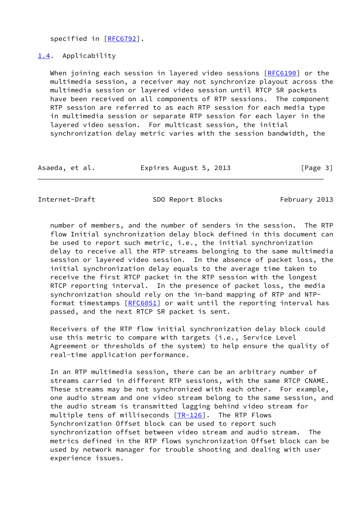specified in [\[RFC6792](https://datatracker.ietf.org/doc/pdf/rfc6792)].

#### <span id="page-3-0"></span>[1.4](#page-3-0). Applicability

When joining each session in layered video sessions [\[RFC6190](https://datatracker.ietf.org/doc/pdf/rfc6190)] or the multimedia session, a receiver may not synchronize playout across the multimedia session or layered video session until RTCP SR packets have been received on all components of RTP sessions. The component RTP session are referred to as each RTP session for each media type in multimedia session or separate RTP session for each layer in the layered video session. For multicast session, the initial synchronization delay metric varies with the session bandwidth, the

| Asaeda, et al. | Expires August 5, 2013 | [Page 3] |
|----------------|------------------------|----------|
|----------------|------------------------|----------|

<span id="page-3-1"></span>Internet-Draft SDO Report Blocks February 2013

 number of members, and the number of senders in the session. The RTP flow Initial synchronization delay block defined in this document can be used to report such metric, i.e., the initial synchronization delay to receive all the RTP streams belonging to the same multimedia session or layered video session. In the absence of packet loss, the initial synchronization delay equals to the average time taken to receive the first RTCP packet in the RTP session with the longest RTCP reporting interval. In the presence of packet loss, the media synchronization should rely on the in-band mapping of RTP and NTP- format timestamps [[RFC6051](https://datatracker.ietf.org/doc/pdf/rfc6051)] or wait until the reporting interval has passed, and the next RTCP SR packet is sent.

 Receivers of the RTP flow initial synchronization delay block could use this metric to compare with targets (i.e., Service Level Agreement or thresholds of the system) to help ensure the quality of real-time application performance.

 In an RTP multimedia session, there can be an arbitrary number of streams carried in different RTP sessions, with the same RTCP CNAME. These streams may be not synchronized with each other. For example, one audio stream and one video stream belong to the same session, and the audio stream is transmitted lagging behind video stream for multiple tens of milliseconds  $[TR-126]$  $[TR-126]$  $[TR-126]$ . The RTP Flows Synchronization Offset block can be used to report such synchronization offset between video stream and audio stream. The metrics defined in the RTP flows synchronization Offset block can be used by network manager for trouble shooting and dealing with user experience issues.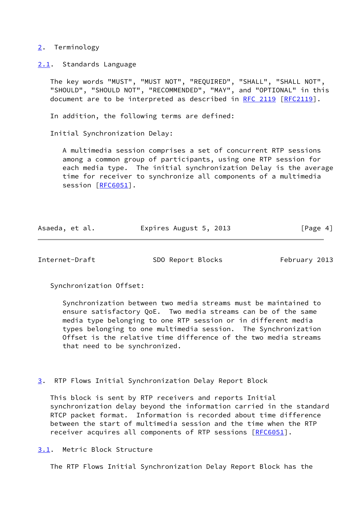## <span id="page-4-0"></span>[2](#page-4-0). Terminology

<span id="page-4-1"></span>[2.1](#page-4-1). Standards Language

 The key words "MUST", "MUST NOT", "REQUIRED", "SHALL", "SHALL NOT", "SHOULD", "SHOULD NOT", "RECOMMENDED", "MAY", and "OPTIONAL" in this document are to be interpreted as described in [RFC 2119 \[RFC2119](https://datatracker.ietf.org/doc/pdf/rfc2119)].

In addition, the following terms are defined:

Initial Synchronization Delay:

 A multimedia session comprises a set of concurrent RTP sessions among a common group of participants, using one RTP session for each media type. The initial synchronization Delay is the average time for receiver to synchronize all components of a multimedia session [[RFC6051\]](https://datatracker.ietf.org/doc/pdf/rfc6051).

| Asaeda, et al. | Expires August 5, 2013 | [Page 4] |
|----------------|------------------------|----------|
|                |                        |          |

<span id="page-4-3"></span>Internet-Draft SDO Report Blocks February 2013

Synchronization Offset:

 Synchronization between two media streams must be maintained to ensure satisfactory QoE. Two media streams can be of the same media type belonging to one RTP session or in different media types belonging to one multimedia session. The Synchronization Offset is the relative time difference of the two media streams that need to be synchronized.

<span id="page-4-2"></span>[3](#page-4-2). RTP Flows Initial Synchronization Delay Report Block

 This block is sent by RTP receivers and reports Initial synchronization delay beyond the information carried in the standard RTCP packet format. Information is recorded about time difference between the start of multimedia session and the time when the RTP receiver acquires all components of RTP sessions [\[RFC6051](https://datatracker.ietf.org/doc/pdf/rfc6051)].

<span id="page-4-4"></span>[3.1](#page-4-4). Metric Block Structure

The RTP Flows Initial Synchronization Delay Report Block has the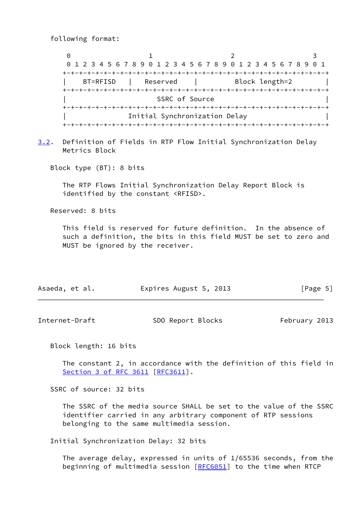following format:

0 1 2 3 0 1 2 3 4 5 6 7 8 9 0 1 2 3 4 5 6 7 8 9 0 1 2 3 4 5 6 7 8 9 0 1 +-+-+-+-+-+-+-+-+-+-+-+-+-+-+-+-+-+-+-+-+-+-+-+-+-+-+-+-+-+-+-+-+ BT=RFISD | Reserved | Block length=2 +-+-+-+-+-+-+-+-+-+-+-+-+-+-+-+-+-+-+-+-+-+-+-+-+-+-+-+-+-+-+-+-+ SSRC of Source +-+-+-+-+-+-+-+-+-+-+-+-+-+-+-+-+-+-+-+-+-+-+-+-+-+-+-+-+-+-+-+-+ Initial Synchronization Delay +-+-+-+-+-+-+-+-+-+-+-+-+-+-+-+-+-+-+-+-+-+-+-+-+-+-+-+-+-+-+-+-+

<span id="page-5-1"></span>[3.2](#page-5-1). Definition of Fields in RTP Flow Initial Synchronization Delay Metrics Block

Block type (BT): 8 bits

 The RTP Flows Initial Synchronization Delay Report Block is identified by the constant <RFISD>.

Reserved: 8 bits

 This field is reserved for future definition. In the absence of such a definition, the bits in this field MUST be set to zero and MUST be ignored by the receiver.

| Asaeda, et al. | Expires August 5, 2013 | [Page 5] |
|----------------|------------------------|----------|
|----------------|------------------------|----------|

<span id="page-5-0"></span>Internet-Draft SDO Report Blocks February 2013

Block length: 16 bits

 The constant 2, in accordance with the definition of this field in Section [3 of RFC 3611](https://datatracker.ietf.org/doc/pdf/rfc3611#section-3) [\[RFC3611](https://datatracker.ietf.org/doc/pdf/rfc3611)].

SSRC of source: 32 bits

 The SSRC of the media source SHALL be set to the value of the SSRC identifier carried in any arbitrary component of RTP sessions belonging to the same multimedia session.

Initial Synchronization Delay: 32 bits

 The average delay, expressed in units of 1/65536 seconds, from the beginning of multimedia session [[RFC6051\]](https://datatracker.ietf.org/doc/pdf/rfc6051) to the time when RTCP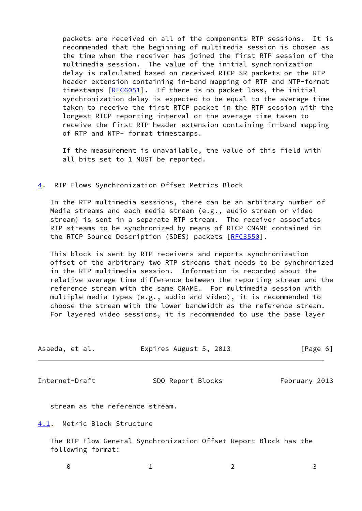packets are received on all of the components RTP sessions. It is recommended that the beginning of multimedia session is chosen as the time when the receiver has joined the first RTP session of the multimedia session. The value of the initial synchronization delay is calculated based on received RTCP SR packets or the RTP header extension containing in-band mapping of RTP and NTP-format timestamps [[RFC6051](https://datatracker.ietf.org/doc/pdf/rfc6051)]. If there is no packet loss, the initial synchronization delay is expected to be equal to the average time taken to receive the first RTCP packet in the RTP session with the longest RTCP reporting interval or the average time taken to receive the first RTP header extension containing in-band mapping of RTP and NTP- format timestamps.

 If the measurement is unavailable, the value of this field with all bits set to 1 MUST be reported.

## <span id="page-6-0"></span>[4](#page-6-0). RTP Flows Synchronization Offset Metrics Block

 In the RTP multimedia sessions, there can be an arbitrary number of Media streams and each media stream (e.g., audio stream or video stream) is sent in a separate RTP stream. The receiver associates RTP streams to be synchronized by means of RTCP CNAME contained in the RTCP Source Description (SDES) packets [[RFC3550\]](https://datatracker.ietf.org/doc/pdf/rfc3550).

 This block is sent by RTP receivers and reports synchronization offset of the arbitrary two RTP streams that needs to be synchronized in the RTP multimedia session. Information is recorded about the relative average time difference between the reporting stream and the reference stream with the same CNAME. For multimedia session with multiple media types (e.g., audio and video), it is recommended to choose the stream with the lower bandwidth as the reference stream. For layered video sessions, it is recommended to use the base layer

| Asaeda, et al. | Expires August 5, 2013 | [Page 6] |  |
|----------------|------------------------|----------|--|
|                |                        |          |  |

<span id="page-6-2"></span>Internet-Draft SDO Report Blocks February 2013

stream as the reference stream.

<span id="page-6-1"></span>[4.1](#page-6-1). Metric Block Structure

 The RTP Flow General Synchronization Offset Report Block has the following format: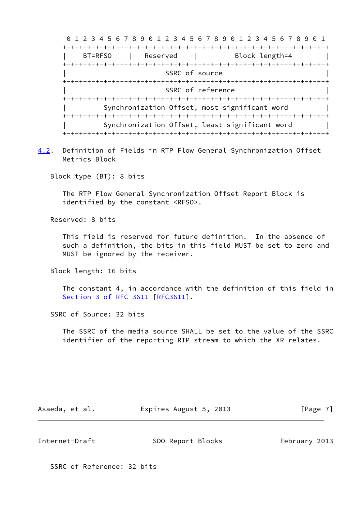| 0 1 2 3 4 5 6 7 8 9 0 1 2 3 4 5 6 7 8 9 0 1 2 3 4 5 6 7 8 9 | 60 T                                           |  |  |  |
|-------------------------------------------------------------|------------------------------------------------|--|--|--|
|                                                             |                                                |  |  |  |
| BT=RFS0<br>Reserved                                         | Block length=4                                 |  |  |  |
|                                                             |                                                |  |  |  |
| SSRC of source                                              |                                                |  |  |  |
|                                                             |                                                |  |  |  |
|                                                             | SSRC of reference                              |  |  |  |
|                                                             |                                                |  |  |  |
| Synchronization Offset, most significant word               |                                                |  |  |  |
|                                                             | Synchronization Offset, least significant word |  |  |  |

<span id="page-7-1"></span>[4.2](#page-7-1). Definition of Fields in RTP Flow General Synchronization Offset Metrics Block

Block type (BT): 8 bits

 The RTP Flow General Synchronization Offset Report Block is identified by the constant <RFSO>.

Reserved: 8 bits

 This field is reserved for future definition. In the absence of such a definition, the bits in this field MUST be set to zero and MUST be ignored by the receiver.

Block length: 16 bits

 The constant 4, in accordance with the definition of this field in Section [3 of RFC 3611](https://datatracker.ietf.org/doc/pdf/rfc3611#section-3) [\[RFC3611](https://datatracker.ietf.org/doc/pdf/rfc3611)].

SSRC of Source: 32 bits

 The SSRC of the media source SHALL be set to the value of the SSRC identifier of the reporting RTP stream to which the XR relates.

Asaeda, et al. **Expires August 5, 2013** [Page 7]

<span id="page-7-0"></span>Internet-Draft SDO Report Blocks February 2013

SSRC of Reference: 32 bits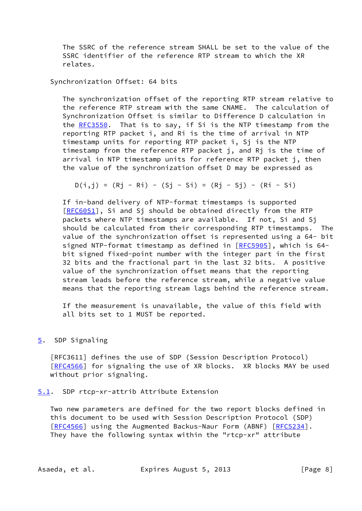The SSRC of the reference stream SHALL be set to the value of the SSRC identifier of the reference RTP stream to which the XR relates.

Synchronization Offset: 64 bits

 The synchronization offset of the reporting RTP stream relative to the reference RTP stream with the same CNAME. The calculation of Synchronization Offset is similar to Difference D calculation in the [RFC3550](https://datatracker.ietf.org/doc/pdf/rfc3550). That is to say, if Si is the NTP timestamp from the reporting RTP packet i, and Ri is the time of arrival in NTP timestamp units for reporting RTP packet i, Sj is the NTP timestamp from the reference RTP packet j, and Rj is the time of arrival in NTP timestamp units for reference RTP packet j, then the value of the synchronization offset D may be expressed as

 $D(i,j) = (Rj - Ri) - (Si - Si) = (Rj - Si) - (Ri - Si)$ 

 If in-band delivery of NTP-format timestamps is supported [[RFC6051\]](https://datatracker.ietf.org/doc/pdf/rfc6051), Si and Sj should be obtained directly from the RTP packets where NTP timestamps are available. If not, Si and Sj should be calculated from their corresponding RTP timestamps. The value of the synchronization offset is represented using a 64- bit signed NTP-format timestamp as defined in [\[RFC5905](https://datatracker.ietf.org/doc/pdf/rfc5905)], which is 64 bit signed fixed-point number with the integer part in the first 32 bits and the fractional part in the last 32 bits. A positive value of the synchronization offset means that the reporting stream leads before the reference stream, while a negative value means that the reporting stream lags behind the reference stream.

 If the measurement is unavailable, the value of this field with all bits set to 1 MUST be reported.

#### <span id="page-8-0"></span>[5](#page-8-0). SDP Signaling

 [RFC3611] defines the use of SDP (Session Description Protocol) [\[RFC4566](https://datatracker.ietf.org/doc/pdf/rfc4566)] for signaling the use of XR blocks. XR blocks MAY be used without prior signaling.

<span id="page-8-1"></span>[5.1](#page-8-1). SDP rtcp-xr-attrib Attribute Extension

 Two new parameters are defined for the two report blocks defined in this document to be used with Session Description Protocol (SDP) [\[RFC4566](https://datatracker.ietf.org/doc/pdf/rfc4566)] using the Augmented Backus-Naur Form (ABNF) [[RFC5234](https://datatracker.ietf.org/doc/pdf/rfc5234)]. They have the following syntax within the "rtcp-xr" attribute

Asaeda, et al. Expires August 5, 2013 [Page 8]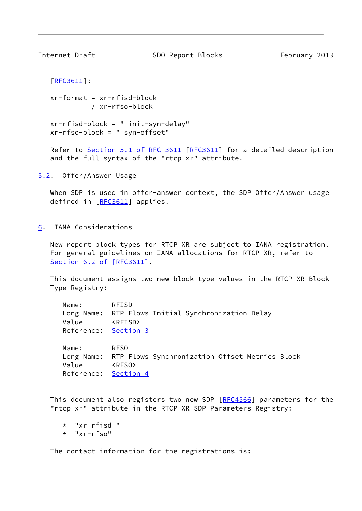<span id="page-9-1"></span>

Internet-Draft SDO Report Blocks February 2013

```
 [RFC3611]:
```
 $xr-format = xr-rfisd-block$ / xr-rfso-block

```
 xr-rfisd-block = " init-syn-delay"
xr-rfso-block = " syn-offset"
```
Refer to Section [5.1 of RFC 3611](https://datatracker.ietf.org/doc/pdf/rfc3611#section-5.1) [\[RFC3611](https://datatracker.ietf.org/doc/pdf/rfc3611)] for a detailed description and the full syntax of the "rtcp-xr" attribute.

<span id="page-9-0"></span>[5.2](#page-9-0). Offer/Answer Usage

When SDP is used in offer-answer context, the SDP Offer/Answer usage defined in [[RFC3611\]](https://datatracker.ietf.org/doc/pdf/rfc3611) applies.

<span id="page-9-2"></span>[6](#page-9-2). IANA Considerations

 New report block types for RTCP XR are subject to IANA registration. For general guidelines on IANA allocations for RTCP XR, refer to Section [6.2 of \[RFC3611\]](https://datatracker.ietf.org/doc/pdf/rfc3611#section-6.2).

 This document assigns two new block type values in the RTCP XR Block Type Registry:

| Name:                         | RFISD                                                                    |
|-------------------------------|--------------------------------------------------------------------------|
| Value<br>Reference: Section 3 | Long Name: RTP Flows Initial Synchronization Delay<br><rfisd></rfisd>    |
| Name:                         | <b>RFSO</b><br>Long Name: RTP Flows Synchronization Offset Metrics Block |

 Value <RFSO> Reference: [Section 4](#page-6-0)

This document also registers two new SDP [\[RFC4566](https://datatracker.ietf.org/doc/pdf/rfc4566)] parameters for the "rtcp-xr" attribute in the RTCP XR SDP Parameters Registry:

```
 * "xr-rfisd "
```

```
 * "xr-rfso"
```
The contact information for the registrations is: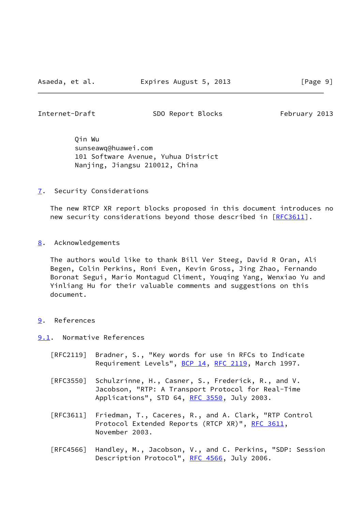<span id="page-10-1"></span>Internet-Draft SDO Report Blocks February 2013

 Qin Wu sunseawq@huawei.com 101 Software Avenue, Yuhua District Nanjing, Jiangsu 210012, China

<span id="page-10-0"></span>[7](#page-10-0). Security Considerations

 The new RTCP XR report blocks proposed in this document introduces no new security considerations beyond those described in [[RFC3611](https://datatracker.ietf.org/doc/pdf/rfc3611)].

<span id="page-10-2"></span>[8](#page-10-2). Acknowledgements

 The authors would like to thank Bill Ver Steeg, David R Oran, Ali Begen, Colin Perkins, Roni Even, Kevin Gross, Jing Zhao, Fernando Boronat Segui, Mario Montagud Climent, Youqing Yang, Wenxiao Yu and Yinliang Hu for their valuable comments and suggestions on this document.

#### <span id="page-10-3"></span>[9](#page-10-3). References

<span id="page-10-4"></span>[9.1](#page-10-4). Normative References

- [RFC2119] Bradner, S., "Key words for use in RFCs to Indicate Requirement Levels", [BCP 14](https://datatracker.ietf.org/doc/pdf/bcp14), [RFC 2119](https://datatracker.ietf.org/doc/pdf/rfc2119), March 1997.
- [RFC3550] Schulzrinne, H., Casner, S., Frederick, R., and V. Jacobson, "RTP: A Transport Protocol for Real-Time Applications", STD 64, [RFC 3550](https://datatracker.ietf.org/doc/pdf/rfc3550), July 2003.
- [RFC3611] Friedman, T., Caceres, R., and A. Clark, "RTP Control Protocol Extended Reports (RTCP XR)", [RFC 3611](https://datatracker.ietf.org/doc/pdf/rfc3611), November 2003.
- [RFC4566] Handley, M., Jacobson, V., and C. Perkins, "SDP: Session Description Protocol", [RFC 4566](https://datatracker.ietf.org/doc/pdf/rfc4566), July 2006.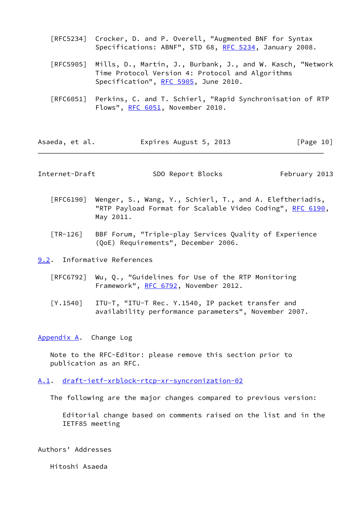- [RFC5234] Crocker, D. and P. Overell, "Augmented BNF for Syntax Specifications: ABNF", STD 68, [RFC 5234](https://datatracker.ietf.org/doc/pdf/rfc5234), January 2008.
- [RFC5905] Mills, D., Martin, J., Burbank, J., and W. Kasch, "Network Time Protocol Version 4: Protocol and Algorithms Specification", [RFC 5905,](https://datatracker.ietf.org/doc/pdf/rfc5905) June 2010.
- [RFC6051] Perkins, C. and T. Schierl, "Rapid Synchronisation of RTP Flows", [RFC 6051,](https://datatracker.ietf.org/doc/pdf/rfc6051) November 2010.

| Asaeda, et al. | Expires August 5, 2013 | [Page 10] |
|----------------|------------------------|-----------|
|----------------|------------------------|-----------|

<span id="page-11-1"></span>Internet-Draft SDO Report Blocks February 2013

 [RFC6190] Wenger, S., Wang, Y., Schierl, T., and A. Eleftheriadis, "RTP Payload Format for Scalable Video Coding", [RFC 6190,](https://datatracker.ietf.org/doc/pdf/rfc6190) May 2011.

<span id="page-11-4"></span> [TR-126] BBF Forum, "Triple-play Services Quality of Experience (QoE) Requirements", December 2006.

<span id="page-11-0"></span>[9.2](#page-11-0). Informative References

- [RFC6792] Wu, Q., "Guidelines for Use of the RTP Monitoring Framework", [RFC 6792,](https://datatracker.ietf.org/doc/pdf/rfc6792) November 2012.
- [Y.1540] ITU-T, "ITU-T Rec. Y.1540, IP packet transfer and availability performance parameters", November 2007.

<span id="page-11-2"></span>[Appendix A.](#page-11-2) Change Log

 Note to the RFC-Editor: please remove this section prior to publication as an RFC.

#### <span id="page-11-3"></span>[A.1](#page-11-3). [draft-ietf-xrblock-rtcp-xr-syncronization-02](https://datatracker.ietf.org/doc/pdf/draft-ietf-xrblock-rtcp-xr-syncronization-02)

The following are the major changes compared to previous version:

 Editorial change based on comments raised on the list and in the IETF85 meeting

Authors' Addresses

Hitoshi Asaeda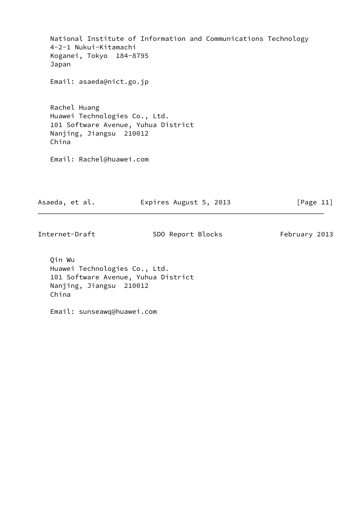National Institute of Information and Communications Technology 4-2-1 Nukui-Kitamachi Koganei, Tokyo 184-8795 Japan Email: asaeda@nict.go.jp Rachel Huang Huawei Technologies Co., Ltd. 101 Software Avenue, Yuhua District Nanjing, Jiangsu 210012 China Email: Rachel@huawei.com Asaeda, et al. **Expires August 5, 2013** [Page 11] Internet-Draft SDO Report Blocks February 2013

 Qin Wu Huawei Technologies Co., Ltd. 101 Software Avenue, Yuhua District Nanjing, Jiangsu 210012 China

Email: sunseawq@huawei.com